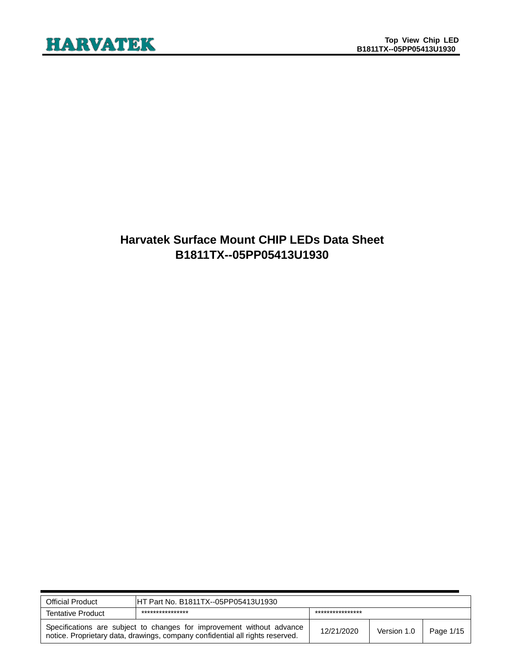### **Harvatek Surface Mount CHIP LEDs Data Sheet B1811TX--05PP05413U1930**

| <b>Official Product</b>                                                                                                                                | IHT Part No. B1811TX--05PP05413U1930 |                  |             |           |  |
|--------------------------------------------------------------------------------------------------------------------------------------------------------|--------------------------------------|------------------|-------------|-----------|--|
| <b>Tentative Product</b>                                                                                                                               | ****************                     | **************** |             |           |  |
| Specifications are subject to changes for improvement without advance<br>notice. Proprietary data, drawings, company confidential all rights reserved. |                                      | 12/21/2020       | Version 1.0 | Page 1/15 |  |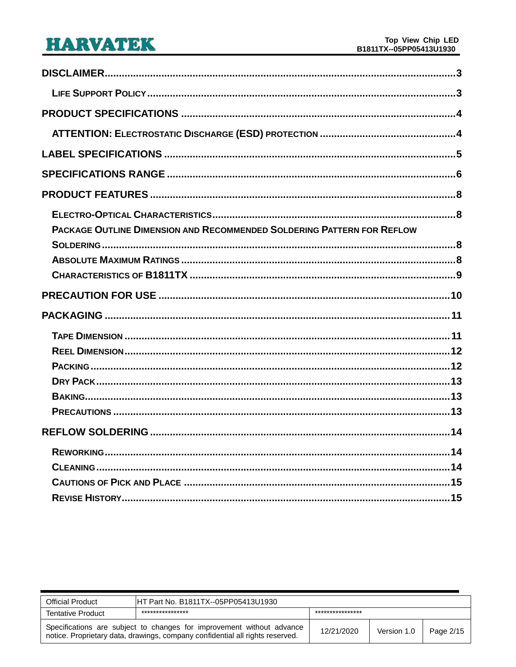| PACKAGE OUTLINE DIMENSION AND RECOMMENDED SOLDERING PATTERN FOR REFLOW |  |
|------------------------------------------------------------------------|--|
|                                                                        |  |
|                                                                        |  |
|                                                                        |  |
|                                                                        |  |
|                                                                        |  |
|                                                                        |  |
|                                                                        |  |
|                                                                        |  |
|                                                                        |  |
|                                                                        |  |
|                                                                        |  |
|                                                                        |  |
|                                                                        |  |
|                                                                        |  |
|                                                                        |  |
|                                                                        |  |

| <b>Official Product</b>                                                                                                                                | HT Part No. B1811TX--05PP05413U1930 |            |             |           |
|--------------------------------------------------------------------------------------------------------------------------------------------------------|-------------------------------------|------------|-------------|-----------|
| <b>Tentative Product</b>                                                                                                                               | ****************<br>*************** |            |             |           |
| Specifications are subject to changes for improvement without advance<br>notice. Proprietary data, drawings, company confidential all rights reserved. |                                     | 12/21/2020 | Version 1.0 | Page 2/15 |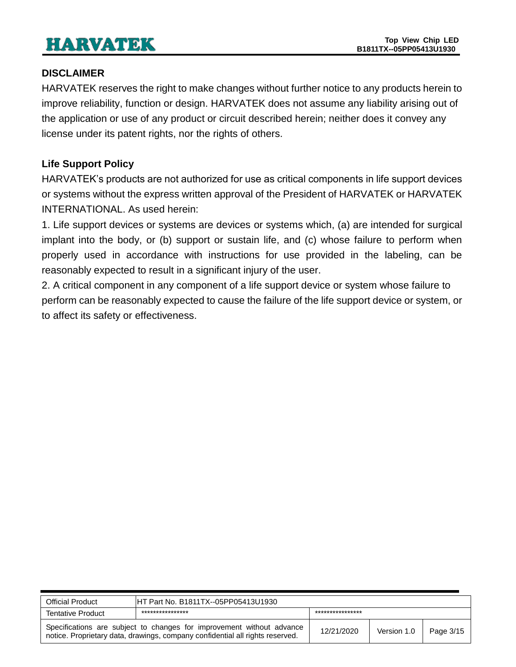#### <span id="page-2-0"></span>**DISCLAIMER**

HARVATEK reserves the right to make changes without further notice to any products herein to improve reliability, function or design. HARVATEK does not assume any liability arising out of the application or use of any product or circuit described herein; neither does it convey any license under its patent rights, nor the rights of others.

#### <span id="page-2-1"></span>**Life Support Policy**

HARVATEK's products are not authorized for use as critical components in life support devices or systems without the express written approval of the President of HARVATEK or HARVATEK INTERNATIONAL. As used herein:

1. Life support devices or systems are devices or systems which, (a) are intended for surgical implant into the body, or (b) support or sustain life, and (c) whose failure to perform when properly used in accordance with instructions for use provided in the labeling, can be reasonably expected to result in a significant injury of the user.

2. A critical component in any component of a life support device or system whose failure to perform can be reasonably expected to cause the failure of the life support device or system, or to affect its safety or effectiveness.

| <b>Official Product</b>                                                                                                                                | HT Part No. B1811TX--05PP05413U1930  |            |             |           |
|--------------------------------------------------------------------------------------------------------------------------------------------------------|--------------------------------------|------------|-------------|-----------|
| <b>Tentative Product</b>                                                                                                                               | ****************<br>**************** |            |             |           |
| Specifications are subject to changes for improvement without advance<br>notice. Proprietary data, drawings, company confidential all rights reserved. |                                      | 12/21/2020 | Version 1.0 | Page 3/15 |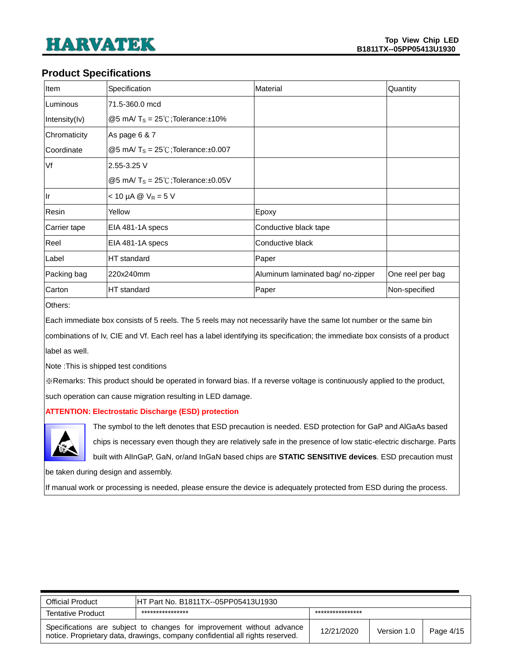#### <span id="page-3-0"></span>**Product Specifications**

| Item              | Specification                                      | Material                          | Quantity         |
|-------------------|----------------------------------------------------|-----------------------------------|------------------|
| <b>ILuminous</b>  | 71.5-360.0 mcd                                     |                                   |                  |
| Intensity(Iv)     | $@5$ mA/ T <sub>s</sub> = 25°C; Tolerance: $±10\%$ |                                   |                  |
| Chromaticity      | As page 6 & 7                                      |                                   |                  |
| <b>Coordinate</b> | @5 mA/ $T_s = 25^{\circ}$ C; Tolerance: ±0.007     |                                   |                  |
| Vf                | 2.55-3.25 V                                        |                                   |                  |
|                   | @5 mA/ $T_s = 25^{\circ}$ C; Tolerance: ±0.05V     |                                   |                  |
| llr               | $< 10 \mu A \otimes V_R = 5 V$                     |                                   |                  |
| Resin             | Yellow                                             | Epoxy                             |                  |
| Carrier tape      | EIA 481-1A specs                                   | Conductive black tape             |                  |
| Reel              | EIA 481-1A specs                                   | Conductive black                  |                  |
| Label             | HT standard                                        | Paper                             |                  |
| Packing bag       | 220x240mm                                          | Aluminum laminated bag/ no-zipper | One reel per bag |
| Carton            | HT standard                                        | Paper                             | Non-specified    |

Others:

Each immediate box consists of 5 reels. The 5 reels may not necessarily have the same lot number or the same bin

combinations of Iv, CIE and Vf. Each reel has a label identifying its specification; the immediate box consists of a product label as well.

Note :This is shipped test conditions

※Remarks: This product should be operated in forward bias. If a reverse voltage is continuously applied to the product, such operation can cause migration resulting in LED damage.

#### <span id="page-3-1"></span>**ATTENTION: Electrostatic Discharge (ESD) protection**



The symbol to the left denotes that ESD precaution is needed. ESD protection for GaP and AlGaAs based chips is necessary even though they are relatively safe in the presence of low static-electric discharge. Parts

built with AlInGaP, GaN, or/and InGaN based chips are **STATIC SENSITIVE devices**. ESD precaution must

be taken during design and assembly.

If manual work or processing is needed, please ensure the device is adequately protected from ESD during the process.

| <b>Official Product</b>                                                                                                                                | HT Part No. B1811TX--05PP05413U1930 |                 |             |           |
|--------------------------------------------------------------------------------------------------------------------------------------------------------|-------------------------------------|-----------------|-------------|-----------|
| <b>Tentative Product</b>                                                                                                                               | ****************                    | *************** |             |           |
| Specifications are subject to changes for improvement without advance<br>notice. Proprietary data, drawings, company confidential all rights reserved. |                                     | 12/21/2020      | Version 1.0 | Page 4/15 |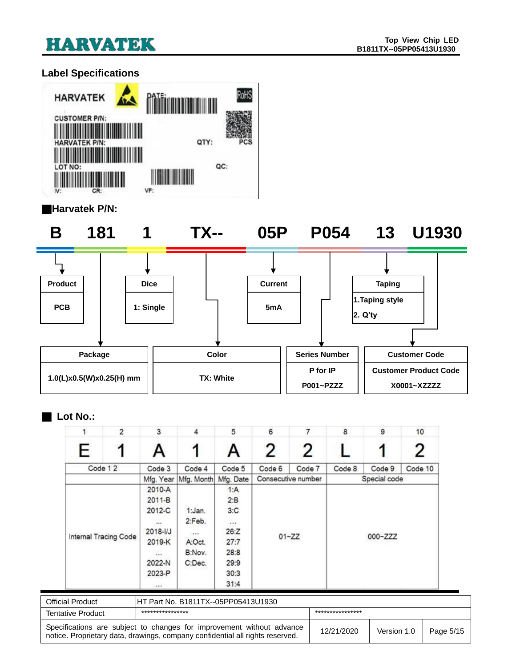### <span id="page-4-0"></span>**Label Specifications**



#### ■**Harvatek P/N:**

**B 181 1 TX-- 05P P054 13 U1930**



#### ■ **Lot No.:**

|   | $\overline{2}$        | 3              | 4                    | 5         | 6      |                    | 8      | 9            | 10      |
|---|-----------------------|----------------|----------------------|-----------|--------|--------------------|--------|--------------|---------|
| E |                       |                |                      |           | 2      | 2                  |        |              | 2       |
|   | Code 12               | Code 3         | Code 4               | Code 5    | Code 6 | Code 7             | Code 8 | Code 9       | Code 10 |
|   |                       |                | Mfg. Year Mfg. Month | Mfg. Date |        | Consecutive number |        | Special code |         |
|   |                       | 2010-A         |                      | 1:A       |        |                    |        |              |         |
|   |                       | 2011-B         |                      | 2:B       |        |                    |        |              |         |
|   |                       | 2012-C         | 1:Jan.               | 3:C       |        |                    |        |              |         |
|   |                       |                | 2:Feb.               | 1.11      |        |                    |        |              |         |
|   |                       | $2018 - 1/J$   | 14.4.9               | 26:Z      |        |                    |        |              |         |
|   | Internal Tracing Code | 2019-K         | A:Oct.               | 27:7      |        | $01 - ZZ$          |        | 000~ZZZ      |         |
|   |                       | $\overline{a}$ | B:Nov.               | 28:8      |        |                    |        |              |         |
|   |                       | 2022-N         | C:Dec.               | 29:9      |        |                    |        |              |         |
|   |                       | 2023-P         |                      | 30:3      |        |                    |        |              |         |
|   |                       | 111            |                      | 31:4      |        |                    |        |              |         |

| <b>Official Product</b>                                                                                                                                | HT Part No. B1811TX--05PP05413U1930  |            |             |           |
|--------------------------------------------------------------------------------------------------------------------------------------------------------|--------------------------------------|------------|-------------|-----------|
| <b>Tentative Product</b>                                                                                                                               | ****************<br>**************** |            |             |           |
| Specifications are subject to changes for improvement without advance<br>notice. Proprietary data, drawings, company confidential all rights reserved. |                                      | 12/21/2020 | Version 1.0 | Page 5/15 |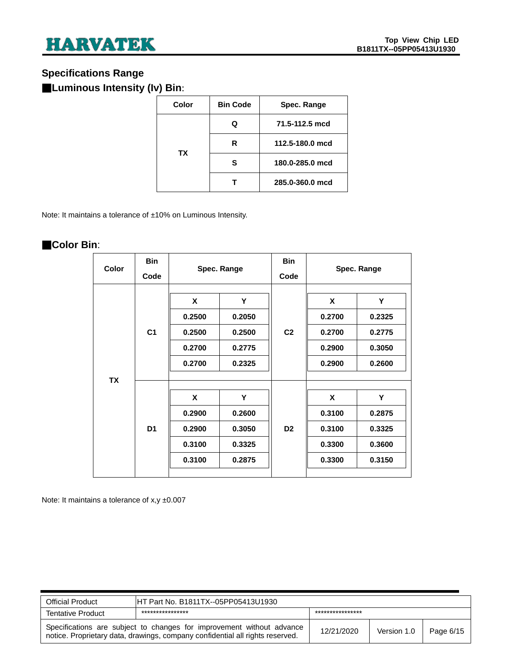### <span id="page-5-0"></span>**Specifications Range**

■**Luminous Intensity (Iv) Bin**:

| Color | <b>Bin Code</b> | Spec. Range     |
|-------|-----------------|-----------------|
| ТX    | Q               | 71.5-112.5 mcd  |
|       | R               | 112.5-180.0 mcd |
|       | s               | 180.0-285.0 mcd |
|       |                 | 285.0-360.0 mcd |

Note: It maintains a tolerance of ±10% on Luminous Intensity.

### ■**Color Bin**:

| Color     | <b>Bin</b><br>Code | Spec. Range                               |                                           | <b>Bin</b><br>Code |                                           | Spec. Range                               |
|-----------|--------------------|-------------------------------------------|-------------------------------------------|--------------------|-------------------------------------------|-------------------------------------------|
| <b>TX</b> | C <sub>1</sub>     | X<br>0.2500<br>0.2500<br>0.2700<br>0.2700 | Y<br>0.2050<br>0.2500<br>0.2775<br>0.2325 | C <sub>2</sub>     | X<br>0.2700<br>0.2700<br>0.2900<br>0.2900 | Υ<br>0.2325<br>0.2775<br>0.3050<br>0.2600 |
|           | D <sub>1</sub>     | X<br>0.2900<br>0.2900<br>0.3100<br>0.3100 | Y<br>0.2600<br>0.3050<br>0.3325<br>0.2875 | D <sub>2</sub>     | X<br>0.3100<br>0.3100<br>0.3300<br>0.3300 | Υ<br>0.2875<br>0.3325<br>0.3600<br>0.3150 |

Note: It maintains a tolerance of x,y ±0.007

| <b>Official Product</b>                                                                                                                                | IHT Part No. B1811TX--05PP05413U1930 |            |             |           |
|--------------------------------------------------------------------------------------------------------------------------------------------------------|--------------------------------------|------------|-------------|-----------|
| <b>Tentative Product</b>                                                                                                                               | ****************<br>**************** |            |             |           |
| Specifications are subject to changes for improvement without advance<br>notice. Proprietary data, drawings, company confidential all rights reserved. |                                      | 12/21/2020 | Version 1.0 | Page 6/15 |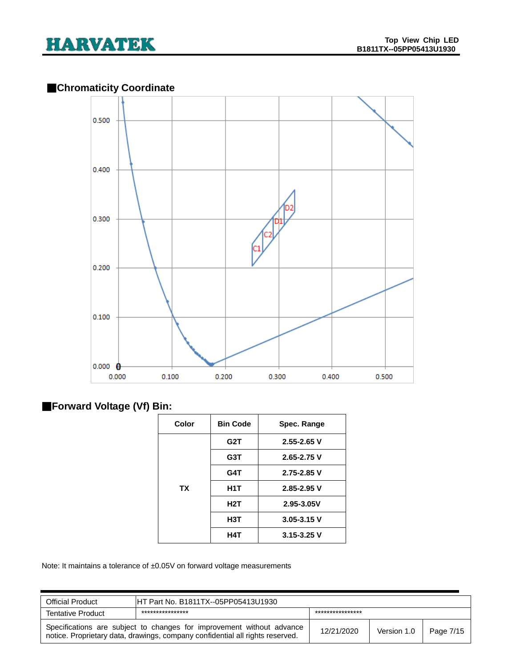

### ■**Chromaticity Coordinate**



### ■**Forward Voltage (Vf) Bin:**

| Color     | <b>Bin Code</b> | Spec. Range     |
|-----------|-----------------|-----------------|
|           | G2T             | $2.55 - 2.65$ V |
|           | G3T             | $2.65 - 2.75$ V |
|           | G4T             | $2.75 - 2.85$ V |
| <b>TX</b> | H1T             | $2.85 - 2.95$ V |
|           | H2T             | 2.95-3.05V      |
|           | H3T             | $3.05 - 3.15$ V |
|           | H4T             | $3.15 - 3.25$ V |

Note: It maintains a tolerance of ±0.05V on forward voltage measurements

| <b>Official Product</b>                                                                                                                                | HT Part No. B1811TX--05PP05413U1930 |                  |             |           |
|--------------------------------------------------------------------------------------------------------------------------------------------------------|-------------------------------------|------------------|-------------|-----------|
| <b>Tentative Product</b>                                                                                                                               | ****************                    | **************** |             |           |
| Specifications are subject to changes for improvement without advance<br>notice. Proprietary data, drawings, company confidential all rights reserved. |                                     | 12/21/2020       | Version 1.0 | Page 7/15 |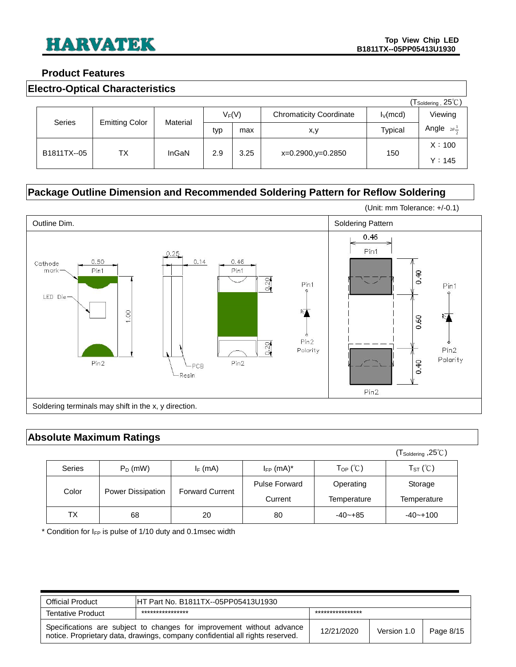#### <span id="page-7-0"></span>**Product Features**

### <span id="page-7-1"></span>**Electro-Optical Characteristics**

|               |                       | -iccu o-optical onal actoristics |       |     |                   |                                |                             |                                                             |
|---------------|-----------------------|----------------------------------|-------|-----|-------------------|--------------------------------|-----------------------------|-------------------------------------------------------------|
|               |                       |                                  |       |     |                   |                                |                             | $(\mathsf{T}_{\mathsf{Soldering}}\,,25^\circ\!\mathsf{C}})$ |
|               |                       |                                  |       |     | $V_F(V)$          | <b>Chromaticity Coordinate</b> | $I_V$ (mcd)                 | Viewing                                                     |
| <b>Series</b> | <b>Emitting Color</b> | Material                         | typ   | max | x,y               | Typical                        | Angle $2\theta \frac{1}{3}$ |                                                             |
|               |                       | TX                               | InGaN | 2.9 | 3.25              |                                | 150                         | X:100                                                       |
| B1811TX--05   |                       |                                  |       |     | x=0.2900,y=0.2850 |                                | Y: 145                      |                                                             |

### <span id="page-7-2"></span>**Package Outline Dimension and Recommended Soldering Pattern for Reflow Soldering**



### <span id="page-7-3"></span>**Absolute Maximum Ratings**

|               |                   |                        |                                 |                          | $(T_{\text{Soldering}}, 25^{\circ}C)$ |
|---------------|-------------------|------------------------|---------------------------------|--------------------------|---------------------------------------|
| <b>Series</b> | $P_D$ (mW)        | $I_F$ (mA)             | $I_{FP}$ (mA) <sup>*</sup>      | $T_{OP}$ (°C)            | $T_{ST}$ (°C)                         |
| Color         | Power Dissipation | <b>Forward Current</b> | <b>Pulse Forward</b><br>Current | Operating<br>Temperature | Storage<br>Temperature                |
| ТX            | 68                | 20                     | 80                              | $-40 - +85$              | $-40 - +100$                          |

 $*$  Condition for  $I_{FP}$  is pulse of 1/10 duty and 0.1msec width

| <b>Official Product</b>  | HT Part No. B1811TX--05PP05413U1930                                                                                                                    |                 |             |           |
|--------------------------|--------------------------------------------------------------------------------------------------------------------------------------------------------|-----------------|-------------|-----------|
| <b>Tentative Product</b> | ****************                                                                                                                                       | *************** |             |           |
|                          | Specifications are subject to changes for improvement without advance<br>notice. Proprietary data, drawings, company confidential all rights reserved. | 12/21/2020      | Version 1.0 | Page 8/15 |

(Unit: mm Tolerance: +/-0.1)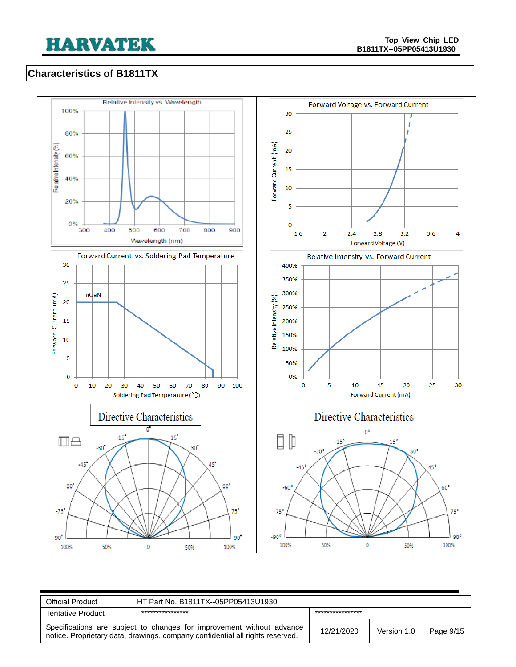### <span id="page-8-0"></span>**Characteristics of B1811TX**



| <b>Official Product</b>  | HT Part No. B1811TX--05PP05413U1930                                                                                                                    |                  |             |           |
|--------------------------|--------------------------------------------------------------------------------------------------------------------------------------------------------|------------------|-------------|-----------|
| <b>Tentative Product</b> | ****************                                                                                                                                       | **************** |             |           |
|                          | Specifications are subject to changes for improvement without advance<br>notice. Proprietary data, drawings, company confidential all rights reserved. | 12/21/2020       | Version 1.0 | Page 9/15 |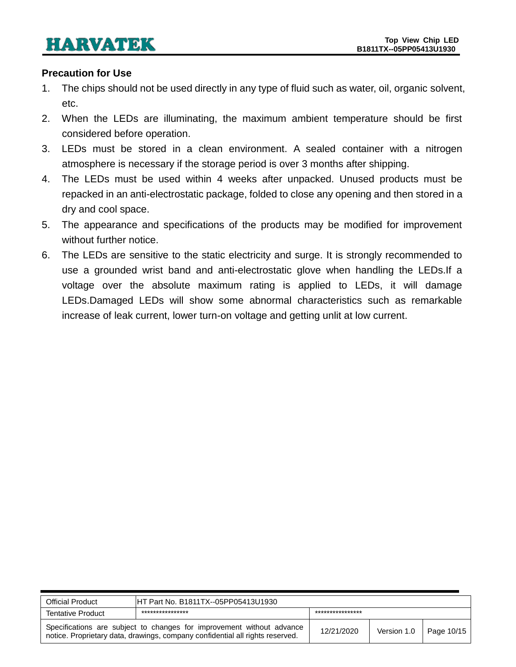#### <span id="page-9-0"></span>**Precaution for Use**

- 1. The chips should not be used directly in any type of fluid such as water, oil, organic solvent, etc.
- 2. When the LEDs are illuminating, the maximum ambient temperature should be first considered before operation.
- 3. LEDs must be stored in a clean environment. A sealed container with a nitrogen atmosphere is necessary if the storage period is over 3 months after shipping.
- 4. The LEDs must be used within 4 weeks after unpacked. Unused products must be repacked in an anti-electrostatic package, folded to close any opening and then stored in a dry and cool space.
- 5. The appearance and specifications of the products may be modified for improvement without further notice.
- 6. The LEDs are sensitive to the static electricity and surge. It is strongly recommended to use a grounded wrist band and anti-electrostatic glove when handling the LEDs.If a voltage over the absolute maximum rating is applied to LEDs, it will damage LEDs.Damaged LEDs will show some abnormal characteristics such as remarkable increase of leak current, lower turn-on voltage and getting unlit at low current.

| <b>Official Product</b>  | IHT Part No. B1811TX--05PP05413U1930                                                                                                                   |                  |             |            |
|--------------------------|--------------------------------------------------------------------------------------------------------------------------------------------------------|------------------|-------------|------------|
| <b>Tentative Product</b> | ****************                                                                                                                                       | **************** |             |            |
|                          | Specifications are subject to changes for improvement without advance<br>notice. Proprietary data, drawings, company confidential all rights reserved. | 12/21/2020       | Version 1.0 | Page 10/15 |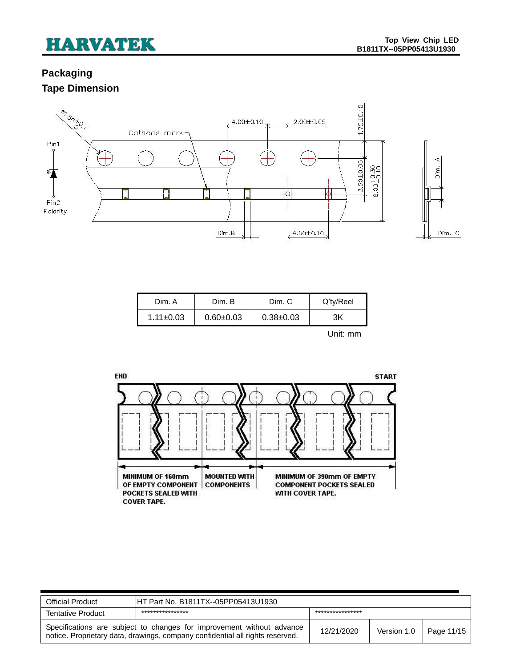### <span id="page-10-1"></span><span id="page-10-0"></span>**Packaging Tape Dimension**



| Dim. A          | Dim. B          | Dim. C        | Q'ty/Reel |
|-----------------|-----------------|---------------|-----------|
| $1.11 \pm 0.03$ | $0.60 \pm 0.03$ | $0.38 + 0.03$ | ЗK        |
|                 |                 |               | ممموطا    |

Unit: mm



| <b>Official Product</b> | IHT Part No. B1811TX--05PP05413U1930                                                                                                                   |                  |             |            |
|-------------------------|--------------------------------------------------------------------------------------------------------------------------------------------------------|------------------|-------------|------------|
| Tentative Product       | ****************                                                                                                                                       | **************** |             |            |
|                         | Specifications are subject to changes for improvement without advance<br>notice. Proprietary data, drawings, company confidential all rights reserved. | 12/21/2020       | Version 1.0 | Page 11/15 |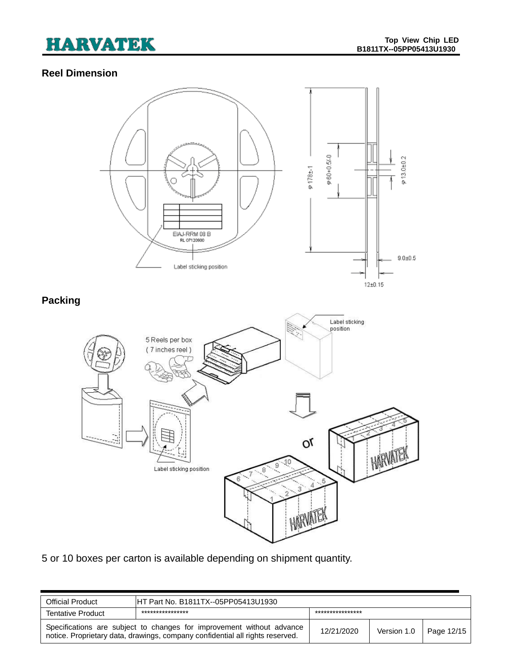#### <span id="page-11-0"></span>**Reel Dimension**

<span id="page-11-1"></span>

5 or 10 boxes per carton is available depending on shipment quantity.

| <b>Official Product</b>                                                                                                                                | HT Part No. B1811TX--05PP05413U1930 |                  |             |            |
|--------------------------------------------------------------------------------------------------------------------------------------------------------|-------------------------------------|------------------|-------------|------------|
| <b>Tentative Product</b>                                                                                                                               | ****************                    | **************** |             |            |
| Specifications are subject to changes for improvement without advance<br>notice. Proprietary data, drawings, company confidential all rights reserved. |                                     | 12/21/2020       | Version 1.0 | Page 12/15 |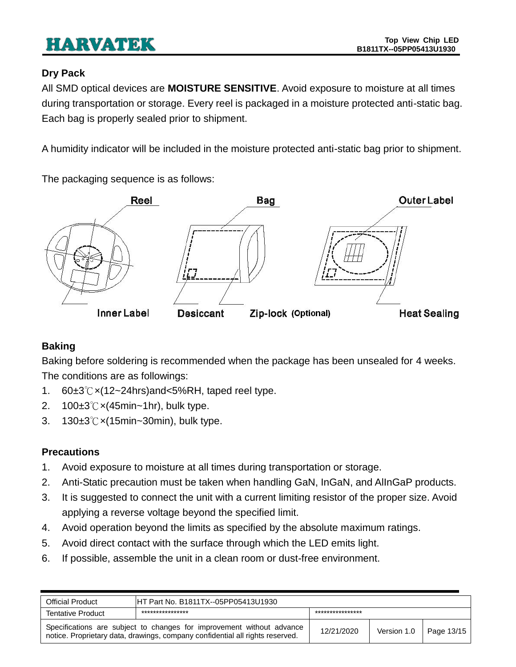### <span id="page-12-0"></span>**Dry Pack**

All SMD optical devices are **MOISTURE SENSITIVE**. Avoid exposure to moisture at all times during transportation or storage. Every reel is packaged in a moisture protected anti-static bag. Each bag is properly sealed prior to shipment.

A humidity indicator will be included in the moisture protected anti-static bag prior to shipment.

The packaging sequence is as follows:



### <span id="page-12-1"></span>**Baking**

Baking before soldering is recommended when the package has been unsealed for 4 weeks. The conditions are as followings:

- 1. 60±3℃×(12~24hrs)and<5%RH, taped reel type.
- 2. 100±3℃×(45min~1hr), bulk type.
- 3. 130±3℃×(15min~30min), bulk type.

### <span id="page-12-2"></span>**Precautions**

- 1. Avoid exposure to moisture at all times during transportation or storage.
- 2. Anti-Static precaution must be taken when handling GaN, InGaN, and AlInGaP products.
- 3. It is suggested to connect the unit with a current limiting resistor of the proper size. Avoid applying a reverse voltage beyond the specified limit.
- 4. Avoid operation beyond the limits as specified by the absolute maximum ratings.
- 5. Avoid direct contact with the surface through which the LED emits light.
- 6. If possible, assemble the unit in a clean room or dust-free environment.

| <b>Official Product</b>                                                                                                                                | IHT Part No. B1811TX--05PP05413U1930 |                  |             |            |
|--------------------------------------------------------------------------------------------------------------------------------------------------------|--------------------------------------|------------------|-------------|------------|
| <b>Tentative Product</b>                                                                                                                               | ****************                     | **************** |             |            |
| Specifications are subject to changes for improvement without advance<br>notice. Proprietary data, drawings, company confidential all rights reserved. |                                      | 12/21/2020       | Version 1.0 | Page 13/15 |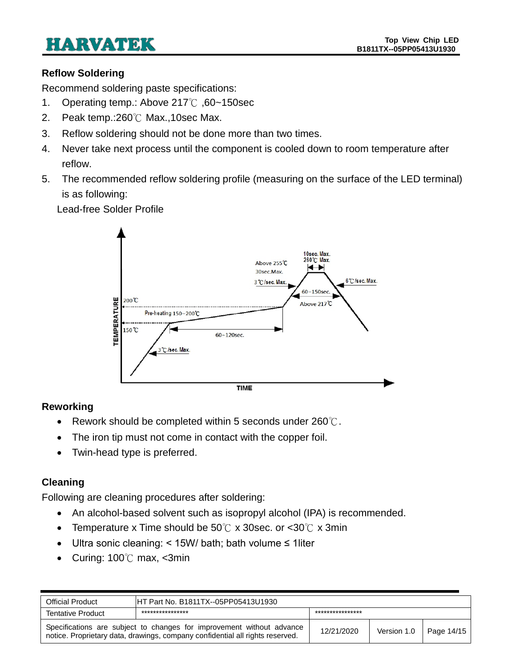### <span id="page-13-0"></span>**Reflow Soldering**

Recommend soldering paste specifications:

- 1. Operating temp.: Above 217℃ ,60~150sec
- 2. Peak temp.:260℃ Max.,10sec Max.
- 3. Reflow soldering should not be done more than two times.
- 4. Never take next process until the component is cooled down to room temperature after reflow.
- 5. The recommended reflow soldering profile (measuring on the surface of the LED terminal) is as following:

Lead-free Solder Profile



### <span id="page-13-1"></span>**Reworking**

- Rework should be completed within 5 seconds under  $260^{\circ}$ C.
- The iron tip must not come in contact with the copper foil.
- Twin-head type is preferred.

### <span id="page-13-2"></span>**Cleaning**

Following are cleaning procedures after soldering:

- An alcohol-based solvent such as isopropyl alcohol (IPA) is recommended.
- Temperature x Time should be  $50^{\circ}$ C x 30sec. or <30 $^{\circ}$ C x 3min
- Ultra sonic cleaning: < 15W/ bath; bath volume ≤ 1liter
- Curing: 100℃ max, <3min

| <b>Official Product</b>                                                                                                                                | HT Part No. B1811TX--05PP05413U1930 |                  |             |            |
|--------------------------------------------------------------------------------------------------------------------------------------------------------|-------------------------------------|------------------|-------------|------------|
| <b>Tentative Product</b>                                                                                                                               | ****************                    | **************** |             |            |
| Specifications are subject to changes for improvement without advance<br>notice. Proprietary data, drawings, company confidential all rights reserved. |                                     | 12/21/2020       | Version 1.0 | Page 14/15 |